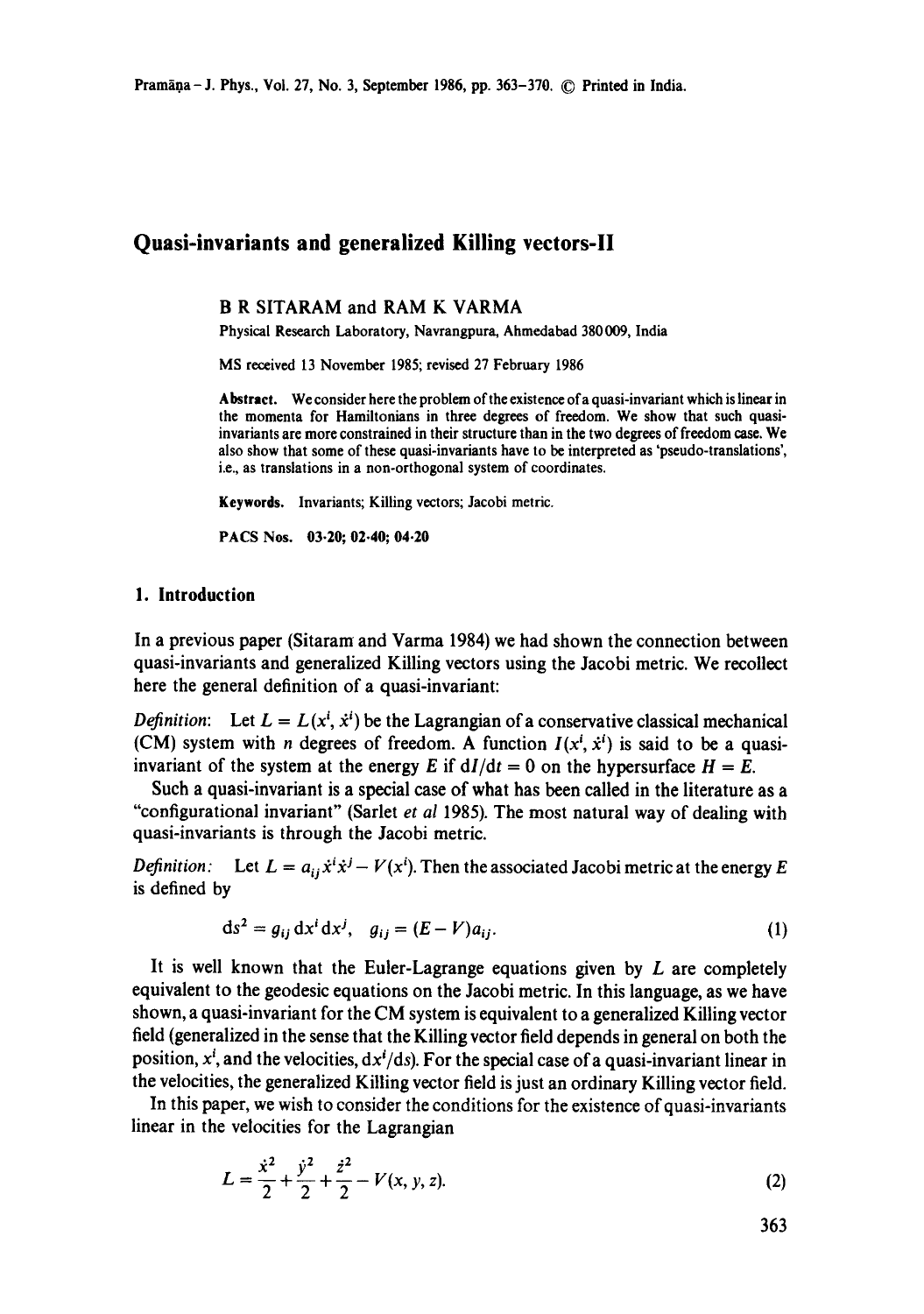# **Quasi-invariants and generalized Killing vectors-ll**

### **B R** SITARAM and **RAM K VARMA**

Physical Research Laboratory, Navrangpura, Ahmedabad 380009, India

MS received 13 November 1985; revised 27 February 1986

**Abstract.** We consider here the problem of the existence ofa quasi-invariant which is linear in the momenta for Hamiltonians in three degrees of freedom. We show that such quasiinvariants are more constrained in their structure than in the two degrees of freedom case. We also show that some of these quasi-invariants have to be interpreted as 'pseudo-translations', i.e., as translations in a non-orthogonal system of coordinates.

Keywords, Invariants; Killing vectors; Jacobi metric.

PACS Nos. 03.20; 02.40; 04.20

### **1. Introduction**

In a previous paper (Sitaram and Varma 1984) we had shown the connection between quasi-invariants and generalized Killing vectors using the Jacobi metric. We recollect here the general definition of a quasi-invariant:

*Definition:* Let  $L = L(x^i, \dot{x}^i)$  be the Lagrangian of a conservative classical mechanical (CM) system with *n* degrees of freedom. A function  $I(x^i, \dot{x}^i)$  is said to be a quasiinvariant of the system at the energy E if  $dI/dt = 0$  on the hypersurface  $H = E$ .

Such a quasi-invariant is a special case of what has been called in the literature as a "configurational invariant" (Sarlet *et al* 1985). The most natural way of dealing with quasi-invariants is through the Jacobi metric.

*Definition:* Let  $L = a_{ij} \dot{x}^i \dot{x}^j - V(x^i)$ . Then the associated Jacobi metric at the energy E is defined by

$$
ds^{2} = g_{ij} dx^{i} dx^{j}, \quad g_{ij} = (E - V)a_{ij}.
$$
 (1)

It is well known that the Euler-Lagrange equations given by  $L$  are completely equivalent to the geodesic equations on the Jacobi metric. In this language, as we have shown, a quasi-invariant for the CM system is equivalent to a generalized Killing vector field (generalized in the sense that the Killing vector field depends in general on both the position,  $x<sup>i</sup>$ , and the velocities,  $dx<sup>i</sup>/ds$ . For the special case of a quasi-invariant linear in the velocities, the generalized Killing vector field is just an ordinary Killing vector field.

In this paper, we wish to consider the conditions for the existence of quasi-invariants linear in the velocities for the Lagrangian

$$
L = \frac{\dot{x}^2}{2} + \frac{\dot{y}^2}{2} + \frac{\dot{z}^2}{2} - V(x, y, z).
$$
 (2)

363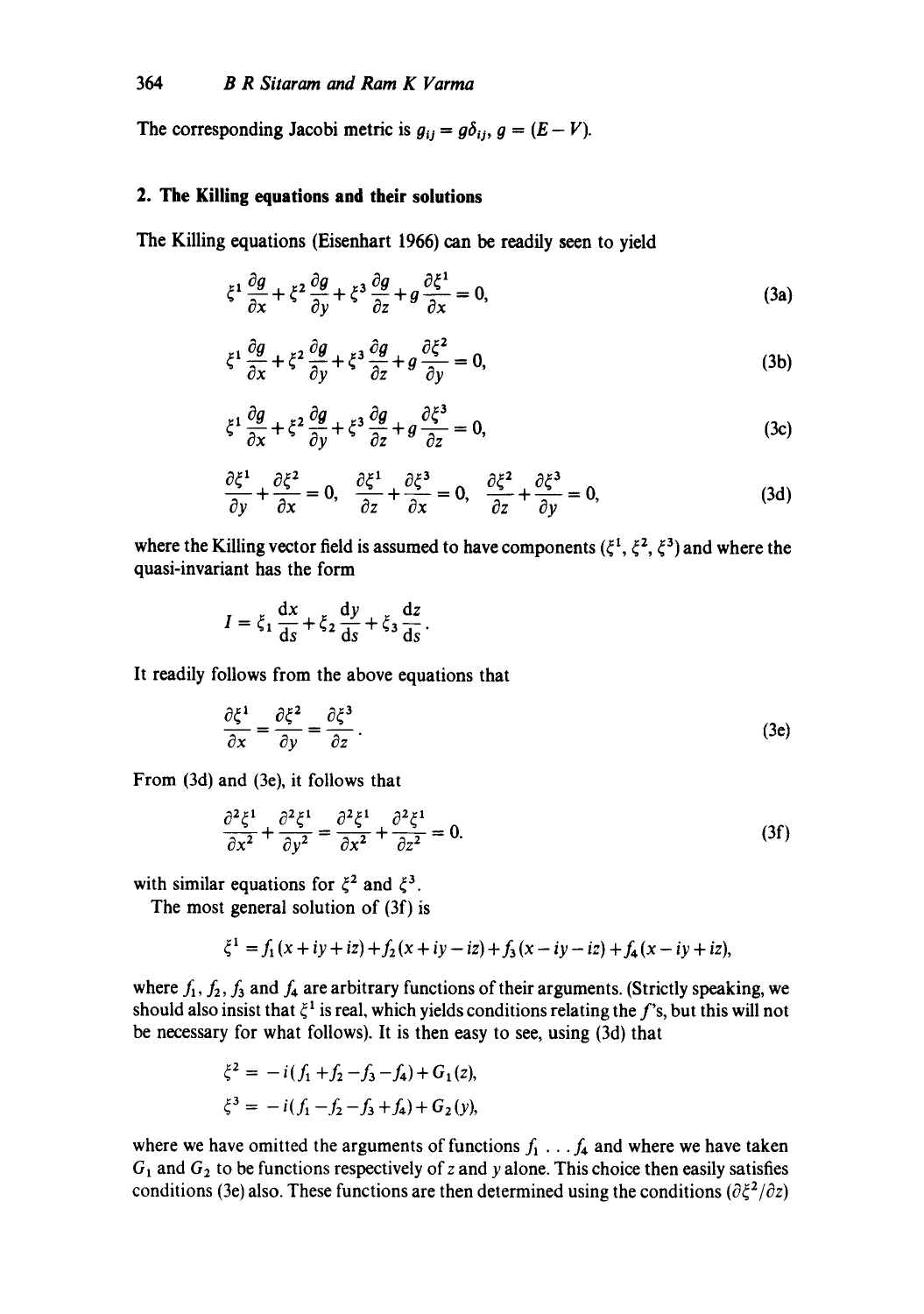The corresponding Jacobi metric is  $g_{ii} = g\delta_{ii}$ ,  $g = (E - V)$ .

### **2. The Killing equations and their solutions**

The Killing equations (Eisenhart 1966) can be readily seen to yield

$$
\xi^1 \frac{\partial g}{\partial x} + \xi^2 \frac{\partial g}{\partial y} + \xi^3 \frac{\partial g}{\partial z} + g \frac{\partial \xi^1}{\partial x} = 0, \tag{3a}
$$

$$
\xi^1 \frac{\partial g}{\partial x} + \xi^2 \frac{\partial g}{\partial y} + \xi^3 \frac{\partial g}{\partial z} + g \frac{\partial \xi^2}{\partial y} = 0, \tag{3b}
$$

$$
\xi^1 \frac{\partial g}{\partial x} + \xi^2 \frac{\partial g}{\partial y} + \xi^3 \frac{\partial g}{\partial z} + g \frac{\partial \xi^3}{\partial z} = 0, \tag{3c}
$$

$$
\frac{\partial \xi^1}{\partial y} + \frac{\partial \xi^2}{\partial x} = 0, \quad \frac{\partial \xi^1}{\partial z} + \frac{\partial \xi^3}{\partial x} = 0, \quad \frac{\partial \xi^2}{\partial z} + \frac{\partial \xi^3}{\partial y} = 0,
$$
 (3d)

where the Killing vector field is assumed to have components  $(\xi^1, \xi^2, \xi^3)$  and where the quasi-invariant has the form

$$
I = \xi_1 \frac{dx}{ds} + \xi_2 \frac{dy}{ds} + \xi_3 \frac{dz}{ds}.
$$

It readily follows from the above equations that

$$
\frac{\partial \xi^1}{\partial x} = \frac{\partial \xi^2}{\partial y} = \frac{\partial \xi^3}{\partial z}.
$$
 (3e)

From (3d) and (3e), it follows that

$$
\frac{\partial^2 \xi^1}{\partial x^2} + \frac{\partial^2 \xi^1}{\partial y^2} = \frac{\partial^2 \xi^1}{\partial x^2} + \frac{\partial^2 \xi^1}{\partial z^2} = 0.
$$
 (3f)

with similar equations for  $\xi^2$  and  $\xi^3$ .

The most general solution of (3f) is

$$
\xi^1 = f_1(x+iy+iz) + f_2(x+iy-iz) + f_3(x-iy-iz) + f_4(x-iy+iz),
$$

where  $f_1, f_2, f_3$  and  $f_4$  are arbitrary functions of their arguments. (Strictly speaking, we should also insist that  $\xi^1$  is real, which yields conditions relating the f's, but this will not be necessary for what follows). It is then easy to see, using (3d) that

$$
\xi^2 = -i(f_1 + f_2 - f_3 - f_4) + G_1(z),
$$
  

$$
\xi^3 = -i(f_1 - f_2 - f_3 + f_4) + G_2(y),
$$

where we have omitted the arguments of functions  $f_1 \ldots f_4$  and where we have taken  $G_1$  and  $G_2$  to be functions respectively of z and y alone. This choice then easily satisfies conditions (3e) also. These functions are then determined using the conditions ( $\partial \xi^2/\partial z$ )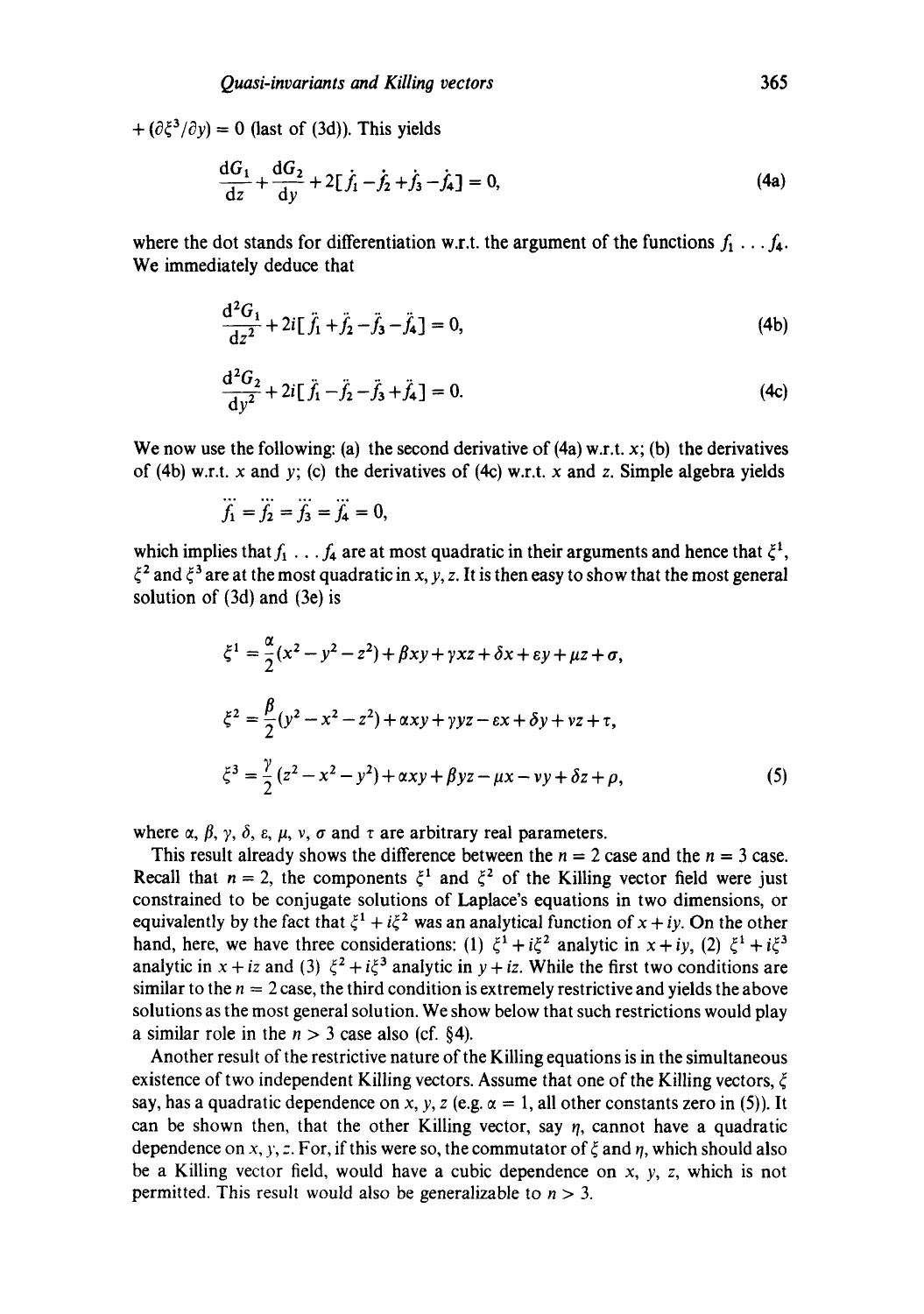$+$  ( $\partial \xi^3 / \partial y$ ) = 0 (last of (3d)). This yields

$$
\frac{dG_1}{dz} + \frac{dG_2}{dy} + 2[\dot{f}_1 - \dot{f}_2 + \dot{f}_3 - \dot{f}_4] = 0,
$$
\n(4a)

where the dot stands for differentiation w.r.t. the argument of the functions  $f_1 \ldots f_4$ . We immediately deduce that

$$
\frac{d^2 G_1}{dz^2} + 2i[\ddot{f}_1 + \ddot{f}_2 - \ddot{f}_3 - \ddot{f}_4] = 0,
$$
\n(4b)

$$
\frac{d^2 G_2}{dy^2} + 2i[\tilde{f}_1 - \tilde{f}_2 - \tilde{f}_3 + \tilde{f}_4] = 0.
$$
 (4c)

We now use the following: (a) the second derivative of  $(4a)$  w.r.t. x; (b) the derivatives of (4b) w.r.t. x and y; (c) the derivatives of (4c) w.r.t. x and z. Simple algebra yields

$$
\dddot{f}_1 = \dddot{f}_2 = \dddot{f}_3 = \dddot{f}_4 = 0,
$$

which implies that  $f_1 \ldots f_4$  are at most quadratic in their arguments and hence that  $\xi^1$ ,  $\xi^2$  and  $\xi^3$  are at the most quadratic in x, y, z. It is then easy to show that the most general solution of (3d) and (3e) is

$$
\xi^{1} = \frac{\alpha}{2}(x^{2} - y^{2} - z^{2}) + \beta xy + \gamma xz + \delta x + \epsilon y + \mu z + \sigma,
$$
  

$$
\xi^{2} = \frac{\beta}{2}(y^{2} - x^{2} - z^{2}) + \alpha xy + \gamma yz - \epsilon x + \delta y + \nu z + \tau,
$$
  

$$
\xi^{3} = \frac{\gamma}{2}(z^{2} - x^{2} - y^{2}) + \alpha xy + \beta yz - \mu x - \nu y + \delta z + \rho,
$$
 (5)

where  $\alpha$ ,  $\beta$ ,  $\gamma$ ,  $\delta$ ,  $\varepsilon$ ,  $\mu$ ,  $\nu$ ,  $\sigma$  and  $\tau$  are arbitrary real parameters.

This result already shows the difference between the  $n = 2$  case and the  $n = 3$  case. Recall that  $n = 2$ , the components  $\xi^1$  and  $\xi^2$  of the Killing vector field were just constrained to be conjugate solutions of Laplace's equations in two dimensions, or equivalently by the fact that  $\xi^1 + i\xi^2$  was an analytical function of  $x + iy$ . On the other hand, here, we have three considerations: (1)  $\xi^1 + i\xi^2$  analytic in  $x + iy$ , (2)  $\xi^1 + i\xi^3$ analytic in  $x + iz$  and (3)  $\xi^2 + i\xi^3$  analytic in  $y + iz$ . While the first two conditions are similar to the  $n = 2$  case, the third condition is extremely restrictive and yields the above solutions as the most general solution. We show below that such restrictions would play a similar role in the  $n > 3$  case also (cf. §4).

Another result of the restrictive nature of the Killing equations is in the simultaneous existence of two independent Killing vectors. Assume that one of the Killing vectors,  $\xi$ say, has a quadratic dependence on x, y, z (e.g.  $\alpha = 1$ , all other constants zero in (5)). It can be shown then, that the other Killing vector, say  $\eta$ , cannot have a quadratic dependence on x, y, z. For, if this were so, the commutator of  $\xi$  and  $\eta$ , which should also be a Killing vector field, would have a cubic dependence on  $x$ ,  $y$ ,  $z$ , which is not permitted. This result would also be generalizable to  $n > 3$ .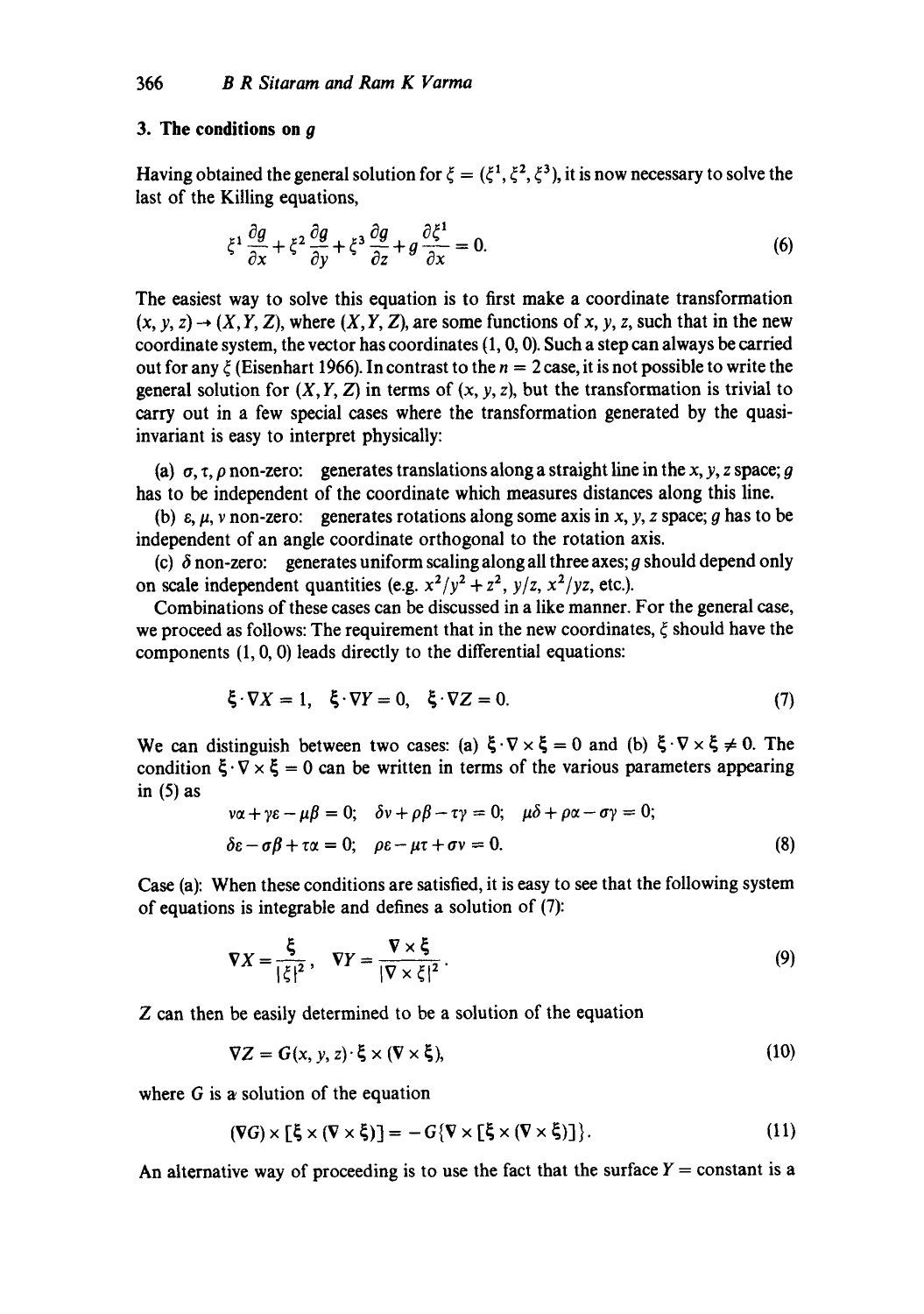## **3. The conditions on g**

Having obtained the general solution for  $\xi = (\xi^1, \xi^2, \xi^3)$ , it is now necessary to solve the last of the Killing equations.

$$
\xi^1 \frac{\partial g}{\partial x} + \xi^2 \frac{\partial g}{\partial y} + \xi^3 \frac{\partial g}{\partial z} + g \frac{\partial \xi^1}{\partial x} = 0.
$$
 (6)

The easiest way to solve this equation is to first make a coordinate transformation  $(x, y, z) \rightarrow (X, Y, Z)$ , where  $(X, Y, Z)$ , are some functions of x, y, z, such that in the new coordinate system, the vector has coordinates  $(1, 0, 0)$ . Such a step can always be carried out for any  $\zeta$  (Eisenhart 1966). In contrast to the  $n = 2$  case, it is not possible to write the general solution for  $(X, Y, Z)$  in terms of  $(x, y, z)$ , but the transformation is trivial to carry out in a few special cases where the transformation generated by the quasiinvariant is easy to interpret physically:

(a)  $\sigma$ ,  $\tau$ ,  $\rho$  non-zero: generates translations along a straight line in the x, y, z space; g has to be independent of the coordinate which measures distances along this line.

(b)  $\varepsilon$ ,  $\mu$ , v non-zero: generates rotations along some axis in x, y, z space; g has to be independent of an angle coordinate orthogonal to the rotation axis.

(c)  $\delta$  non-zero: generates uniform scaling along all three axes; g should depend only on scale independent quantities (e.g.  $x^2/y^2 + z^2$ ,  $y/z$ ,  $x^2/yz$ , etc.).

Combinations of these cases can be discussed in a like manner. For the general case, we proceed as follows: The requirement that in the new coordinates,  $\xi$  should have the components (1, 0, 0) leads directly to the differential equations:

$$
\xi \cdot \nabla X = 1, \quad \xi \cdot \nabla Y = 0, \quad \xi \cdot \nabla Z = 0. \tag{7}
$$

We can distinguish between two cases: (a)  $\xi \cdot \nabla \times \xi = 0$  and (b)  $\xi \cdot \nabla \times \xi \neq 0$ . The condition  $\xi \cdot \nabla \times \xi = 0$  can be written in terms of the various parameters appearing in  $(5)$  as

$$
\nu\alpha + \gamma\epsilon - \mu\beta = 0; \quad \delta\nu + \rho\beta - \tau\gamma = 0; \quad \mu\delta + \rho\alpha - \sigma\gamma = 0; \n\delta\epsilon - \sigma\beta + \tau\alpha = 0; \quad \rho\epsilon - \mu\tau + \sigma\nu = 0.
$$
\n(8)

Case (a): When these conditions are satisfied, it is easy to see that the following system of equations is integrable and defines a solution of (7):

$$
\nabla X = \frac{\xi}{|\xi|^2}, \quad \nabla Y = \frac{\nabla \times \xi}{|\nabla \times \xi|^2}.
$$
 (9)

Z can then be easily determined to be a solution of the equation

$$
\nabla Z = G(x, y, z) \cdot \xi \times (\nabla \times \xi),\tag{10}
$$

where  $G$  is a solution of the equation

$$
(\nabla G) \times [\xi \times (\nabla \times \xi)] = -G\{\nabla \times [\xi \times (\nabla \times \xi)]\}.
$$
 (11)

An alternative way of proceeding is to use the fact that the surface  $Y = constant$  is a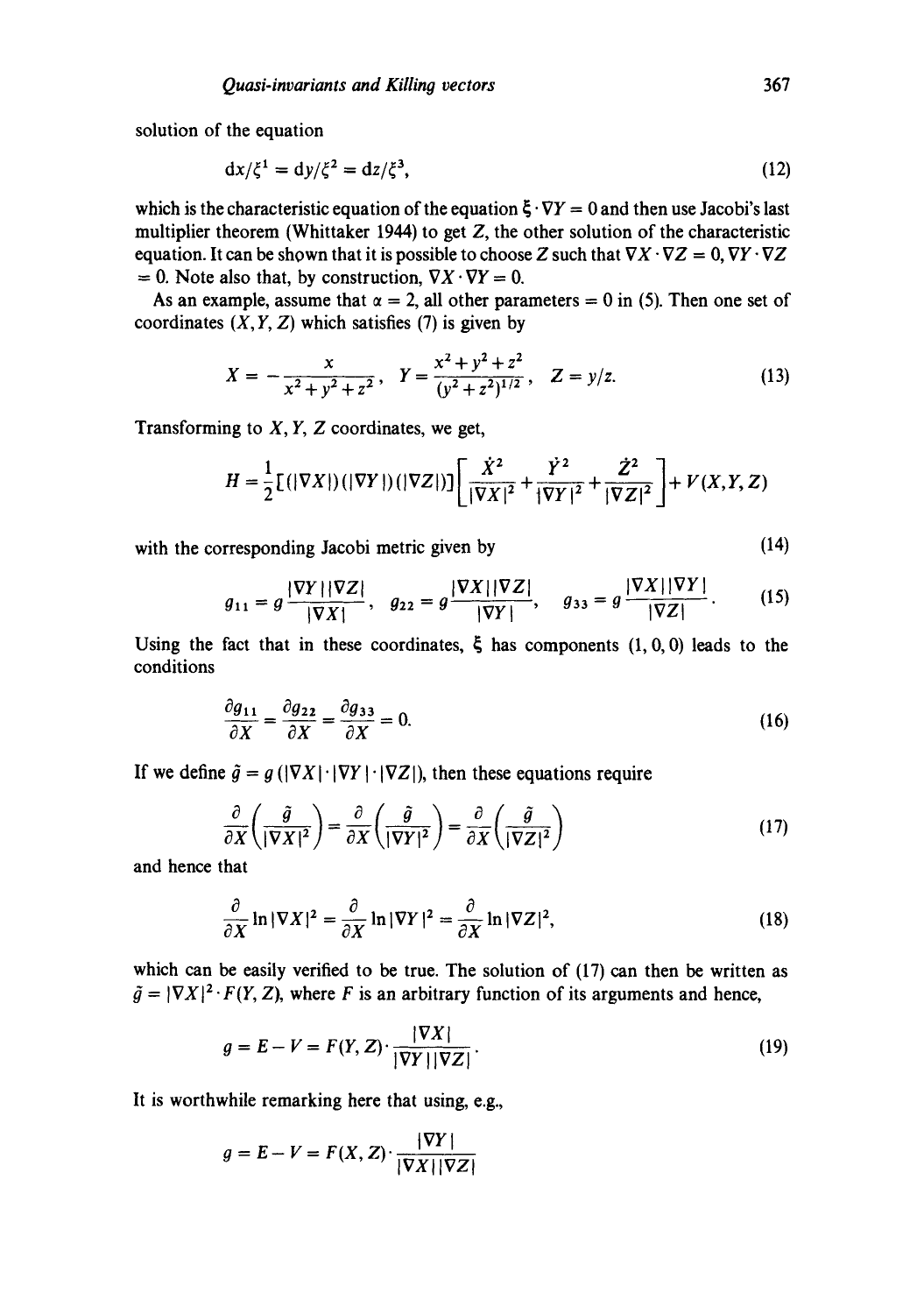solution of the equation

$$
\mathrm{d}x/\xi^1 = \mathrm{d}y/\xi^2 = \mathrm{d}z/\xi^3,\tag{12}
$$

which is the characteristic equation of the equation  $\xi \cdot \nabla Y = 0$  and then use Jacobi's last multiplier theorem (Whittaker 1944) to get Z, the other solution of the characteristic equation. It can be shown that it is possible to choose Z such that  $\nabla X \cdot \nabla Z = 0$ ,  $\nabla Y \cdot \nabla Z$  $= 0$ . Note also that, by construction,  $\nabla X \cdot \nabla Y = 0$ .

As an example, assume that  $\alpha = 2$ , all other parameters = 0 in (5). Then one set of coordinates  $(X, Y, Z)$  which satisfies (7) is given by

$$
X = -\frac{x}{x^2 + y^2 + z^2}, \quad Y = \frac{x^2 + y^2 + z^2}{(y^2 + z^2)^{1/2}}, \quad Z = y/z.
$$
 (13)

Transforming to  $X, Y, Z$  coordinates, we get,

$$
H = \frac{1}{2} [(|\nabla X|)(|\nabla Y|)(|\nabla Z|)] \left[ \frac{\dot{X}^2}{|\nabla X|^2} + \frac{\dot{Y}^2}{|\nabla Y|^2} + \frac{\dot{Z}^2}{|\nabla Z|^2} \right] + V(X, Y, Z)
$$

with the corresponding Jacobi metric given by (14)

$$
g_{11} = g \frac{|\nabla Y||\nabla Z|}{|\nabla X|}, \quad g_{22} = g \frac{|\nabla X||\nabla Z|}{|\nabla Y|}, \quad g_{33} = g \frac{|\nabla X||\nabla Y|}{|\nabla Z|}.
$$
 (15)

Using the fact that in these coordinates,  $\zeta$  has components  $(1, 0, 0)$  leads to the conditions

$$
\frac{\partial g_{11}}{\partial X} = \frac{\partial g_{22}}{\partial X} = \frac{\partial g_{33}}{\partial X} = 0.
$$
 (16)

If we define  $\tilde{g} = g (|\nabla X| \cdot |\nabla Y| \cdot |\nabla Z|)$ , then these equations require

$$
\frac{\partial}{\partial X} \left( \frac{\tilde{g}}{|\nabla X|^2} \right) = \frac{\partial}{\partial X} \left( \frac{\tilde{g}}{|\nabla Y|^2} \right) = \frac{\partial}{\partial X} \left( \frac{\tilde{g}}{|\nabla Z|^2} \right)
$$
(17)

and hence that

$$
\frac{\partial}{\partial X} \ln |\nabla X|^2 = \frac{\partial}{\partial X} \ln |\nabla Y|^2 = \frac{\partial}{\partial X} \ln |\nabla Z|^2,
$$
\n(18)

which can be easily verified to be true. The solution of (17) can then be written as  $\tilde{g} = |\nabla X|^2 \cdot F(Y, Z)$ , where F is an arbitrary function of its arguments and hence,

$$
g = E - V = F(Y, Z) \cdot \frac{|\nabla X|}{|\nabla Y| |\nabla Z|}.
$$
\n(19)

It is worthwhile remarking here that using, e.g.,

$$
g = E - V = F(X, Z) \cdot \frac{|\nabla Y|}{|\nabla X| |\nabla Z|}
$$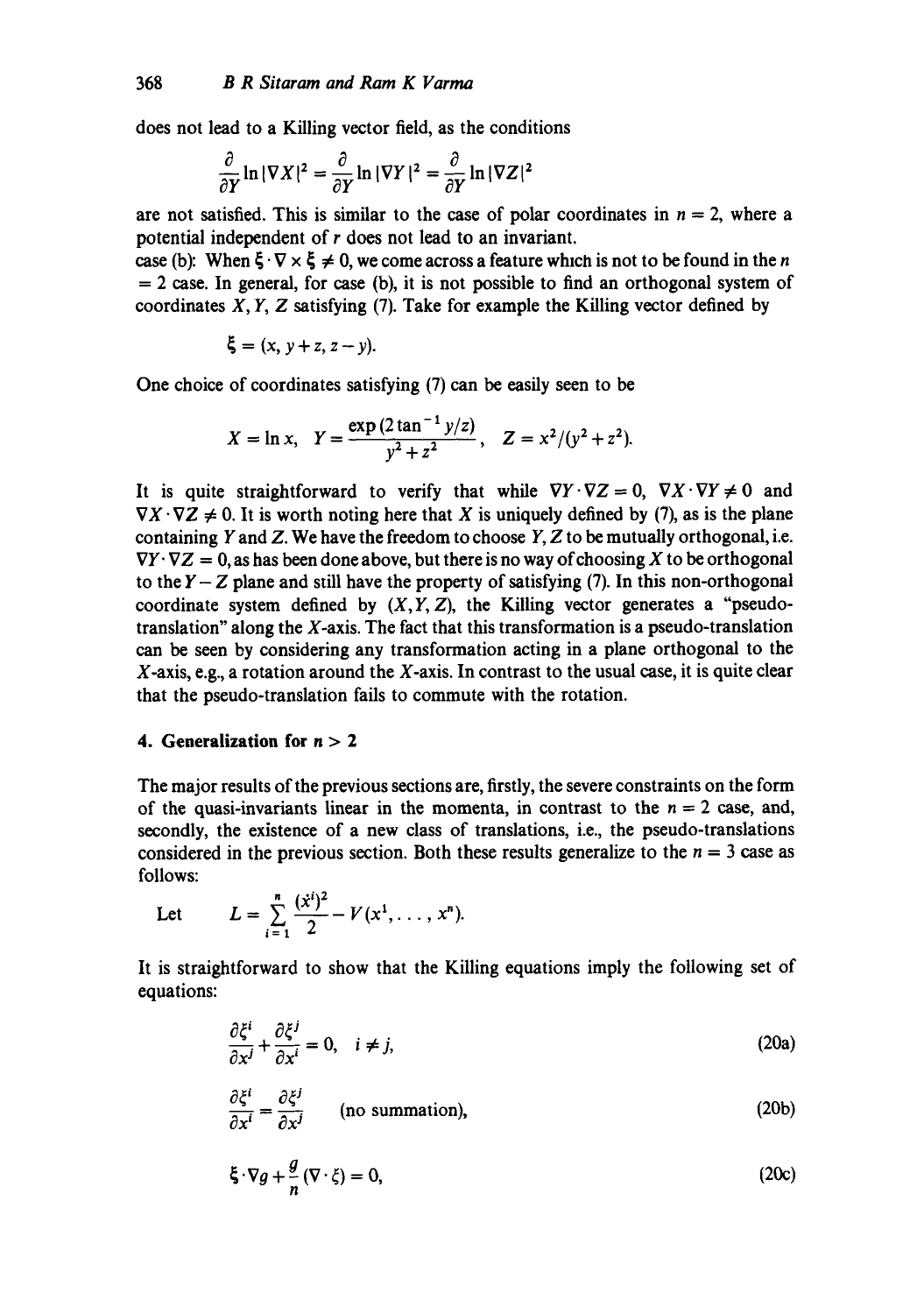does not lead to a Killing vector field, as the conditions

$$
\frac{\partial}{\partial Y}\ln|\nabla X|^2 = \frac{\partial}{\partial Y}\ln|\nabla Y|^2 = \frac{\partial}{\partial Y}\ln|\nabla Z|^2
$$

are not satisfied. This is similar to the case of polar coordinates in  $n = 2$ , where a potential independent of r does not lead to an invariant.

case (b): When  $\zeta \cdot \nabla \times \zeta \neq 0$ , we come across a feature which is not to be found in the *n*  $= 2$  case. In general, for case (b), it is not possible to find an orthogonal system of coordinates *X, Y, Z* satisfying (7). Take for example the Killing vector defined by

$$
\xi = (x, y+z, z-y).
$$

One choice of coordinates satisfying (7) can be easily seen to be

$$
X = \ln x, \quad Y = \frac{\exp(2 \tan^{-1} y/z)}{y^2 + z^2}, \quad Z = x^2/(y^2 + z^2).
$$

It is quite straightforward to verify that while  $\nabla Y \cdot \nabla Z = 0$ ,  $\nabla X \cdot \nabla Y \neq 0$  and  $\nabla X \cdot \nabla Z \neq 0$ . It is worth noting here that X is uniquely defined by (7), as is the plane containing Y and Z. We have the freedom to choose  $Y$ , Z to be mutually orthogonal, i.e.  $\nabla Y \cdot \nabla Z = 0$ , as has been done above, but there is no way of choosing X to be orthogonal to the  $Y-Z$  plane and still have the property of satisfying (7). In this non-orthogonal coordinate system defined by  $(X, Y, Z)$ , the Killing vector generates a "pseudotranslation" along the X-axis. The fact that this transformation is a pseudo-translation can be seen by considering any transformation acting in a plane orthogonal to the  $X$ -axis, e.g., a rotation around the  $X$ -axis. In contrast to the usual case, it is quite clear that the pseudo-translation fails to commute with the rotation.

### **4. Generalization for n > 2**

The major results of the previous sections are, firstly, the severe constraints on the form of the quasi-invariants linear in the momenta, in contrast to the  $n = 2$  case, and, secondly, the existence of a new class of translations, i.e., the pseudo-translations considered in the previous section. Both these results generalize to the  $n = 3$  case as follows:

Let  $L = \sum_{n=0}^{\infty} \frac{(x^n)^n}{n!} - V(x^1, \dots, x^n).$ i=1

It is straightforward to show that the Killing equations imply the following set of equations:

$$
\frac{\partial \xi^i}{\partial x^j} + \frac{\partial \xi^j}{\partial x^i} = 0, \quad i \neq j,
$$
 (20a)

$$
\frac{\partial \xi^i}{\partial x^i} = \frac{\partial \xi^j}{\partial x^j} \qquad \text{(no summation)},\tag{20b}
$$

$$
\xi \cdot \nabla g + \frac{g}{n} (\nabla \cdot \xi) = 0, \tag{20c}
$$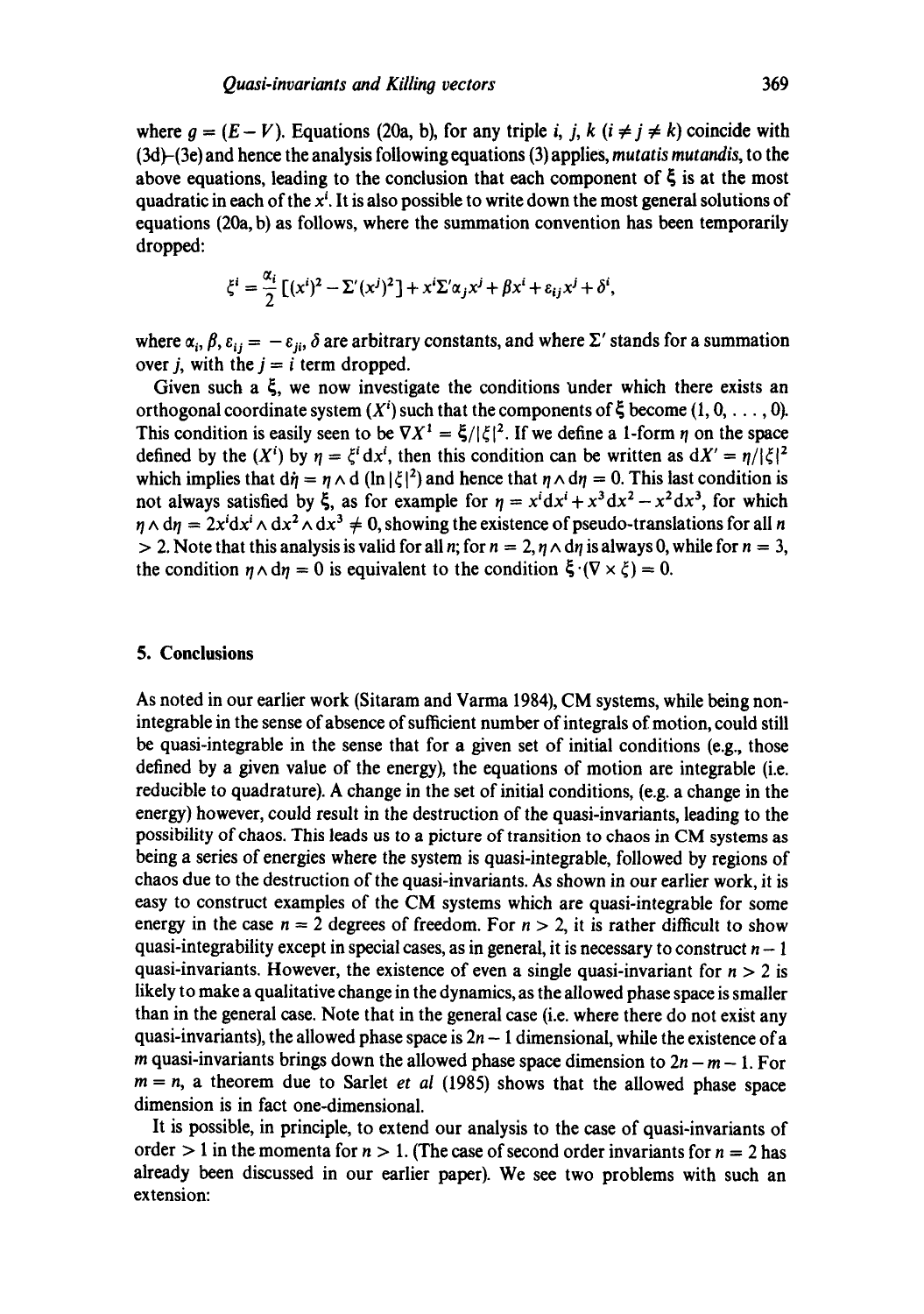where  $q = (E - V)$ . Equations (20a, b), for any triple i, j, k (i  $\neq$  j  $\neq$  k) coincide with (3d)-(3e) and hence the analysis following equations (3) applies, *mutatis mutandis,* to the above equations, leading to the conclusion that each component of  $\zeta$  is at the most quadratic in each of the  $x<sup>i</sup>$ . It is also possible to write down the most general solutions of equations (20a, b) as follows, where the summation convention has been temporarily dropped:

$$
\xi^{i} = \frac{\alpha_{i}}{2} \left[ (x^{i})^{2} - \Sigma'(x^{j})^{2} \right] + x^{i} \Sigma' \alpha_{j} x^{j} + \beta x^{i} + \varepsilon_{ij} x^{j} + \delta^{i},
$$

where  $\alpha_i$ ,  $\beta$ ,  $\varepsilon_{ij} = -\varepsilon_{ii}$ ,  $\delta$  are arbitrary constants, and where  $\Sigma'$  stands for a summation over *j*, with the  $j = i$  term dropped.

Given such a  $\xi$ , we now investigate the conditions under which there exists an orthogonal coordinate system  $(X<sup>i</sup>)$  such that the components of  $\xi$  become  $(1, 0, \ldots, 0)$ . This condition is easily seen to be  $\nabla X^1 = \xi/|\xi|^2$ . If we define a 1-form  $\eta$  on the space defined by the (X<sup>*i*</sup>) by  $\eta = \xi^{i} dx^{i}$ , then this condition can be written as  $dX' = \eta/|\xi|^{2}$ which implies that  $d\dot{\eta} = \eta \wedge d$  (ln  $|\xi|^2$ ) and hence that  $\eta \wedge d\eta = 0$ . This last condition is not always satisfied by  $\xi$ , as for example for  $\eta = x^i dx^i + x^3 dx^2 - x^2 dx^3$ , for which  $\eta \wedge d\eta = 2x^i dx^i \wedge dx^2 \wedge dx^3 \neq 0$ , showing the existence of pseudo-translations for all n  $> 2$ . Note that this analysis is valid for all n; for  $n = 2$ ,  $n \wedge d\eta$  is always 0, while for  $n = 3$ , the condition  $n \wedge dn = 0$  is equivalent to the condition  $\xi \cdot (\nabla \times \xi) = 0$ .

#### **5. Conclusions**

As noted in our earlier work (Sitaram and Varma 1984), CM systems, while being nonintegrable in the sense of absence of sufficient number of integrals of motion, could still be quasi-integrable in the sense that for a given set of initial conditions (e.g., those defined by a given value of the energy), the equations of motion are integrable (i.e. reducible to quadrature). A change in the set of initial conditions, (e.g. a change in the energy) however, could result in the destruction of the quasi-invariants, leading to the possibility of chaos. This leads us to a picture of transition to chaos in CM systems as being a series of energies where the system is quasi-integrable, followed by regions of chaos due to the destruction of the quasi-invariants. As shown in our earlier work, it is easy to construct examples of the CM systems which are quasi-integrable for some energy in the case  $n = 2$  degrees of freedom. For  $n > 2$ , it is rather difficult to show quasi-integrability except in special cases, as in general, it is necessary to construct  $n - 1$ quasi-invariants. However, the existence of even a single quasi-invariant for  $n > 2$  is likely to make a qualitative change in the dynamics, as the allowed phase space is smaller than in the general case. Note that in the general case (i.e. where there do not exist any quasi-invariants), the allowed phase space is  $2n - 1$  dimensional, while the existence of a m quasi-invariants brings down the allowed phase space dimension to  $2n - m - 1$ . For  $m = n$ , a theorem due to Sarlet *et al* (1985) shows that the allowed phase space dimension is in fact one-dimensional.

It is possible, in principle, to extend our analysis to the case of quasi-invariants of order  $> 1$  in the momenta for  $n > 1$ . (The case of second order invariants for  $n = 2$  has already been discussed in our earlier paper). We see two problems with such an extension: